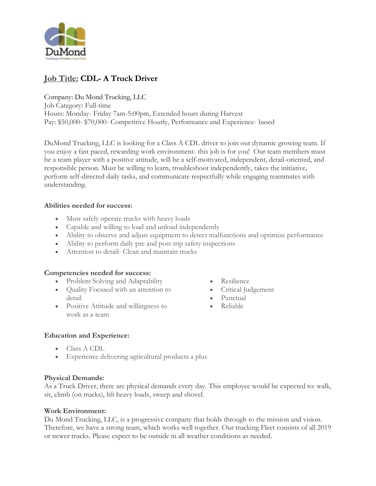

# **Job Title: CDL- A Truck Driver**

Company: Du Mond Trucking, LLC Job Category: Full-time Hours: Monday- Friday 7am-5:00pm, Extended hours during Harvest Pay: \$50,000- \$70,000- Competitive Hourly, Performance and Experience- based

DuMond Trucking, LLC is looking for a Class A CDL driver to join our dynamic growing team. If you enjoy a fast paced, rewarding work environment- this job is for you! Our team members must be a team player with a positive attitude, will be a self-motivated, independent, detail-oriented, and responsible person. Must be willing to learn, troubleshoot independently, takes the initiative, perform self-directed daily tasks, and communicate respectfully while engaging teammates with understanding.

### **Abilities needed for success:**

- Must safely operate trucks with heavy loads
- Capable and willing to load and unload independently
- Ability to observe and adjust equipment to detect malfunctions and optimize performance
- Ability to perform daily pre and post trip safety inspections
- Attention to detail- Clean and maintain trucks

### **Competencies needed for success:**

- Problem Solving and Adaptability
- Quality Focused with an attention to detail
- Positive Attitude and willingness to work as a team
- Resilience
- Critical Judgement
- Punctual
- Reliable

### **Education and Experience:**

- Class A CDL
- Experience delivering agricultural products a plus

### **Physical Demands:**

As a Truck Driver, there are physical demands every day. This employee would be expected to: walk, sit, climb (on trucks), lift heavy loads, sweep and shovel.

### **Work Environment:**

Du Mond Trucking, LLC, is a progressive company that holds through to the mission and vision. Therefore, we have a strong team, which works well together. Our trucking Fleet consists of all 2019 or newer trucks. Please expect to be outside in all weather conditions as needed.